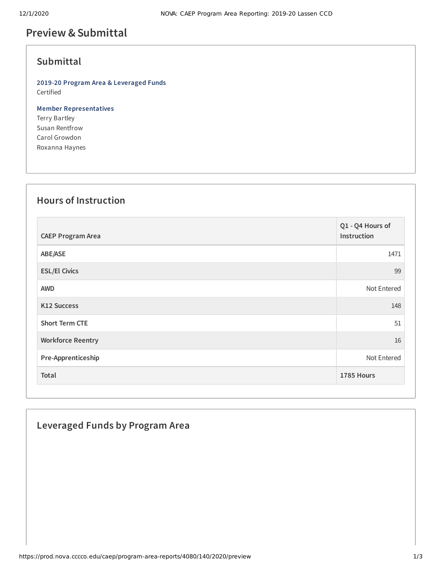# **Preview &Submittal**

## **Submittal**

**2019-20 Program Area & Leveraged Funds** Certified

**Member Representatives** Terry Bartley Susan Rentfrow

Carol Growdon Roxanna Haynes

## **Hours of Instruction**

| <b>CAEP Program Area</b> | Q1 - Q4 Hours of<br>Instruction |
|--------------------------|---------------------------------|
| ABE/ASE                  | 1471                            |
| <b>ESL/El Civics</b>     | 99                              |
| <b>AWD</b>               | Not Entered                     |
| <b>K12 Success</b>       | 148                             |
| <b>Short Term CTE</b>    | 51                              |
| <b>Workforce Reentry</b> | 16                              |
| Pre-Apprenticeship       | Not Entered                     |
| Total                    | 1785 Hours                      |

#### **Leveraged Funds by Program Area**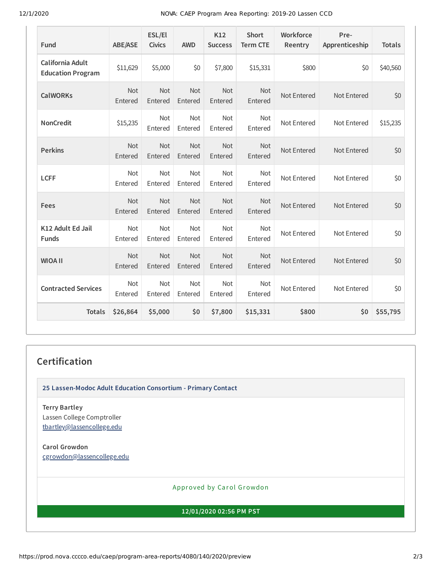12/1/2020 NOVA: CAEP Program Area Reporting: 2019-20 Lassen CCD

| Fund                                         | <b>ABE/ASE</b>        | ESL/El<br><b>Civics</b> | <b>AWD</b>            | K12<br><b>Success</b> | <b>Short</b><br><b>Term CTE</b> | Workforce<br>Reentry | Pre-<br>Apprenticeship | <b>Totals</b> |
|----------------------------------------------|-----------------------|-------------------------|-----------------------|-----------------------|---------------------------------|----------------------|------------------------|---------------|
| California Adult<br><b>Education Program</b> | \$11,629              | \$5,000                 | \$0                   | \$7,800               | \$15,331                        | \$800                | \$0                    | \$40,560      |
| <b>CalWORKs</b>                              | Not<br>Entered        | Not<br>Entered          | <b>Not</b><br>Entered | Not<br>Entered        | Not<br>Entered                  | Not Entered          | Not Entered            | \$0           |
| <b>NonCredit</b>                             | \$15,235              | <b>Not</b><br>Entered   | <b>Not</b><br>Entered | <b>Not</b><br>Entered | Not<br>Entered                  | Not Entered          | Not Entered            | \$15,235      |
| <b>Perkins</b>                               | <b>Not</b><br>Entered | Not<br>Entered          | Not<br>Entered        | Not<br>Entered        | Not<br>Entered                  | Not Entered          | Not Entered            | \$0           |
| <b>LCFF</b>                                  | <b>Not</b><br>Entered | <b>Not</b><br>Entered   | <b>Not</b><br>Entered | <b>Not</b><br>Entered | <b>Not</b><br>Entered           | Not Entered          | Not Entered            | \$0           |
| Fees                                         | Not<br>Entered        | Not<br>Entered          | Not<br>Entered        | Not<br>Entered        | Not<br>Entered                  | Not Entered          | Not Entered            | \$0           |
| K12 Adult Ed Jail<br><b>Funds</b>            | <b>Not</b><br>Entered | <b>Not</b><br>Entered   | <b>Not</b><br>Entered | Not<br>Entered        | <b>Not</b><br>Entered           | Not Entered          | Not Entered            | \$0           |
| <b>WIOA II</b>                               | <b>Not</b><br>Entered | <b>Not</b><br>Entered   | Not<br>Entered        | Not<br>Entered        | <b>Not</b><br>Entered           | Not Entered          | Not Entered            | \$0           |
| <b>Contracted Services</b>                   | <b>Not</b><br>Entered | <b>Not</b><br>Entered   | <b>Not</b><br>Entered | Not<br>Entered        | <b>Not</b><br>Entered           | Not Entered          | Not Entered            | \$0           |
| <b>Totals</b>                                | \$26,864              | \$5,000                 | \$0                   | \$7,800               | \$15,331                        | \$800                | \$0                    | \$55,795      |

#### **Certification**

**25 Lassen-Modoc Adult Education Consortium - Primary Contact**

**Terry Bartley** Lassen College Comptroller [tbartley@lassencollege.edu](mailto:tbartley@lassencollege.edu)

**Carol Growdon** [cgrowdon@lassencollege.edu](mailto:cgrowdon@lassencollege.edu)

Approved by Carol Growdon

**12/01/2020 02:56 PM PST**